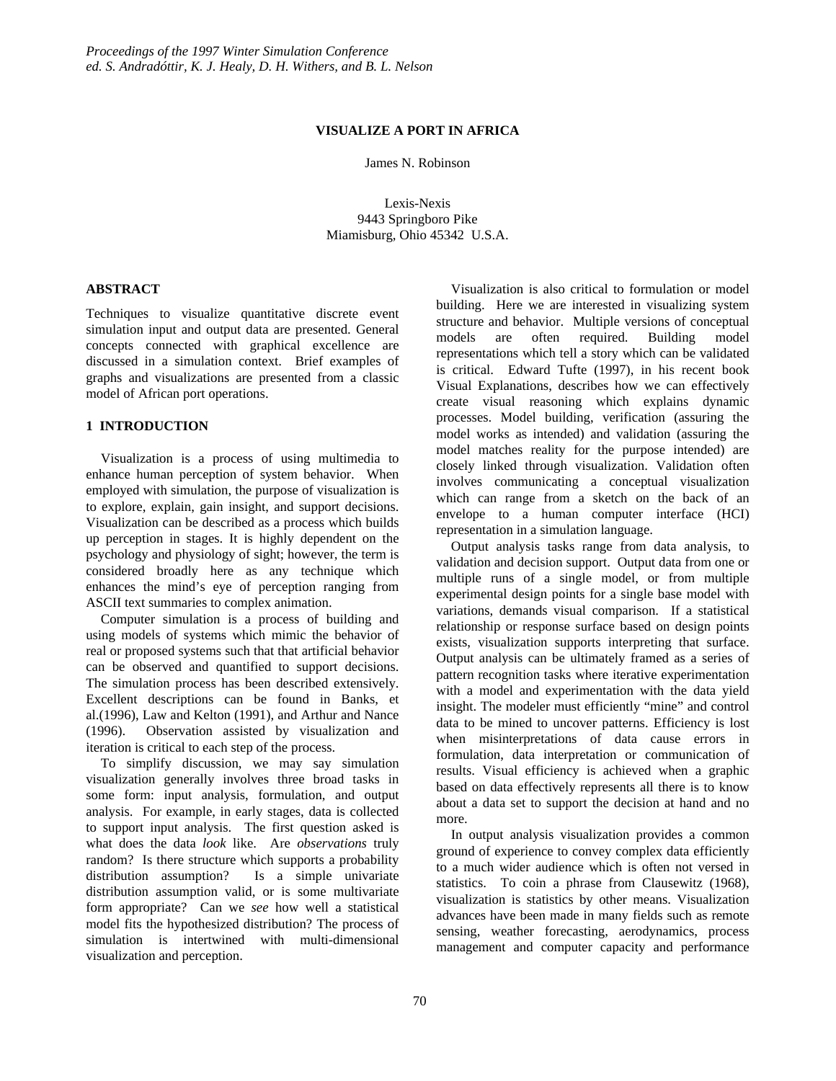#### **VISUALIZE A PORT IN AFRICA**

James N. Robinson

Lexis-Nexis 9443 Springboro Pike Miamisburg, Ohio 45342 U.S.A.

### **ABSTRACT**

Techniques to visualize quantitative discrete event simulation input and output data are presented. General concepts connected with graphical excellence are discussed in a simulation context. Brief examples of graphs and visualizations are presented from a classic model of African port operations.

## **1 INTRODUCTION**

Visualization is a process of using multimedia to enhance human perception of system behavior. When employed with simulation, the purpose of visualization is to explore, explain, gain insight, and support decisions. Visualization can be described as a process which builds up perception in stages. It is highly dependent on the psychology and physiology of sight; however, the term is considered broadly here as any technique which enhances the mind's eye of perception ranging from ASCII text summaries to complex animation.

Computer simulation is a process of building and using models of systems which mimic the behavior of real or proposed systems such that that artificial behavior can be observed and quantified to support decisions. The simulation process has been described extensively. Excellent descriptions can be found in Banks, et al.(1996), Law and Kelton (1991), and Arthur and Nance (1996). Observation assisted by visualization and iteration is critical to each step of the process.

To simplify discussion, we may say simulation visualization generally involves three broad tasks in some form: input analysis, formulation, and output analysis. For example, in early stages, data is collected to support input analysis. The first question asked is what does the data *look* like. Are *observations* truly random? Is there structure which supports a probability distribution assumption? Is a simple univariate distribution assumption valid, or is some multivariate form appropriate? Can we *see* how well a statistical model fits the hypothesized distribution? The process of simulation is intertwined with multi-dimensional visualization and perception.

Visualization is also critical to formulation or model building. Here we are interested in visualizing system structure and behavior. Multiple versions of conceptual models are often required. Building model representations which tell a story which can be validated is critical. Edward Tufte (1997), in his recent book Visual Explanations, describes how we can effectively create visual reasoning which explains dynamic processes. Model building, verification (assuring the model works as intended) and validation (assuring the model matches reality for the purpose intended) are closely linked through visualization. Validation often involves communicating a conceptual visualization which can range from a sketch on the back of an envelope to a human computer interface (HCI) representation in a simulation language.

Output analysis tasks range from data analysis, to validation and decision support. Output data from one or multiple runs of a single model, or from multiple experimental design points for a single base model with variations, demands visual comparison. If a statistical relationship or response surface based on design points exists, visualization supports interpreting that surface. Output analysis can be ultimately framed as a series of pattern recognition tasks where iterative experimentation with a model and experimentation with the data yield insight. The modeler must efficiently "mine" and control data to be mined to uncover patterns. Efficiency is lost when misinterpretations of data cause errors in formulation, data interpretation or communication of results. Visual efficiency is achieved when a graphic based on data effectively represents all there is to know about a data set to support the decision at hand and no more.

In output analysis visualization provides a common ground of experience to convey complex data efficiently to a much wider audience which is often not versed in statistics. To coin a phrase from Clausewitz (1968), visualization is statistics by other means. Visualization advances have been made in many fields such as remote sensing, weather forecasting, aerodynamics, process management and computer capacity and performance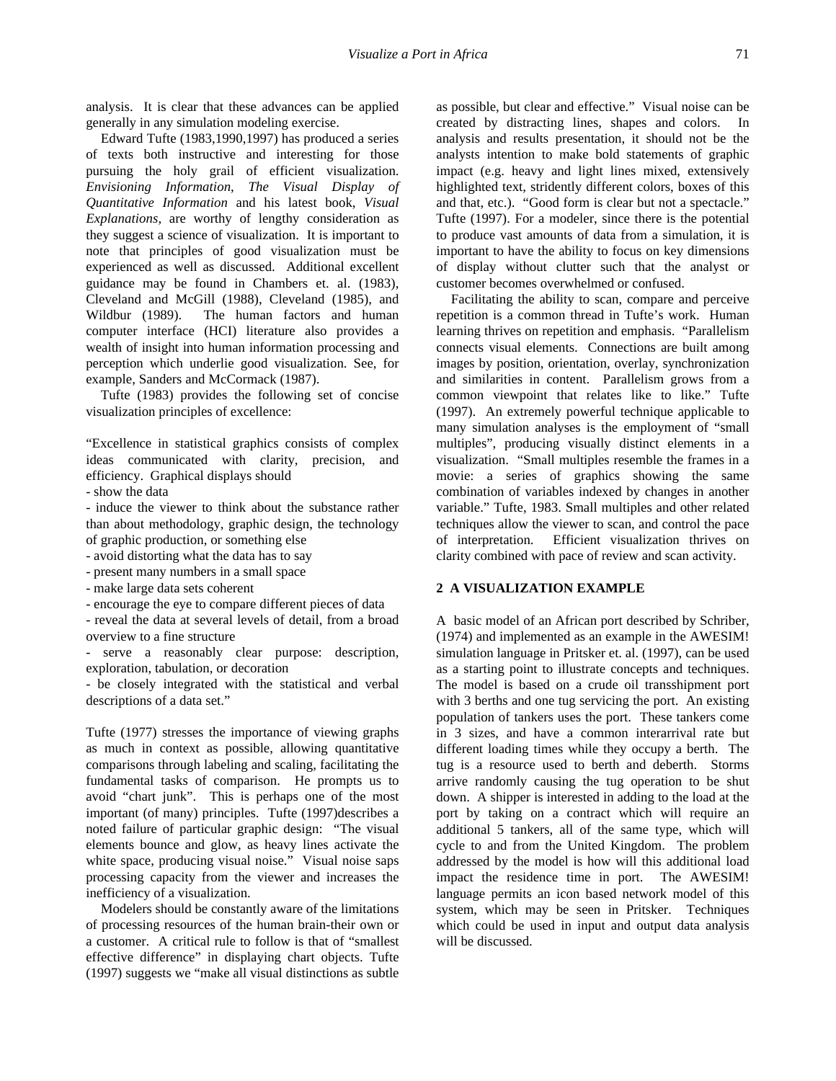analysis. It is clear that these advances can be applied generally in any simulation modeling exercise.

Edward Tufte (1983,1990,1997) has produced a series of texts both instructive and interesting for those pursuing the holy grail of efficient visualization. *Envisioning Information*, *The Visual Display of Quantitative Information* and his latest book, *Visual Explanations*, are worthy of lengthy consideration as they suggest a science of visualization. It is important to note that principles of good visualization must be experienced as well as discussed. Additional excellent guidance may be found in Chambers et. al. (1983), Cleveland and McGill (1988), Cleveland (1985), and Wildbur (1989). The human factors and human computer interface (HCI) literature also provides a wealth of insight into human information processing and perception which underlie good visualization. See, for example, Sanders and McCormack (1987).

Tufte (1983) provides the following set of concise visualization principles of excellence:

"Excellence in statistical graphics consists of complex ideas communicated with clarity, precision, and efficiency. Graphical displays should

- show the data

- induce the viewer to think about the substance rather than about methodology, graphic design, the technology of graphic production, or something else

- avoid distorting what the data has to say

- present many numbers in a small space

- make large data sets coherent

- encourage the eye to compare different pieces of data

- reveal the data at several levels of detail, from a broad overview to a fine structure

- serve a reasonably clear purpose: description, exploration, tabulation, or decoration

- be closely integrated with the statistical and verbal descriptions of a data set."

Tufte (1977) stresses the importance of viewing graphs as much in context as possible, allowing quantitative comparisons through labeling and scaling, facilitating the fundamental tasks of comparison. He prompts us to avoid "chart junk". This is perhaps one of the most important (of many) principles. Tufte (1997)describes a noted failure of particular graphic design: "The visual elements bounce and glow, as heavy lines activate the white space, producing visual noise." Visual noise saps processing capacity from the viewer and increases the inefficiency of a visualization.

Modelers should be constantly aware of the limitations of processing resources of the human brain-their own or a customer. A critical rule to follow is that of "smallest effective difference" in displaying chart objects. Tufte (1997) suggests we "make all visual distinctions as subtle

as possible, but clear and effective." Visual noise can be created by distracting lines, shapes and colors. In analysis and results presentation, it should not be the analysts intention to make bold statements of graphic impact (e.g. heavy and light lines mixed, extensively highlighted text, stridently different colors, boxes of this and that, etc.). "Good form is clear but not a spectacle." Tufte (1997). For a modeler, since there is the potential to produce vast amounts of data from a simulation, it is important to have the ability to focus on key dimensions of display without clutter such that the analyst or customer becomes overwhelmed or confused.

Facilitating the ability to scan, compare and perceive repetition is a common thread in Tufte's work. Human learning thrives on repetition and emphasis. "Parallelism connects visual elements. Connections are built among images by position, orientation, overlay, synchronization and similarities in content. Parallelism grows from a common viewpoint that relates like to like." Tufte (1997). An extremely powerful technique applicable to many simulation analyses is the employment of "small multiples", producing visually distinct elements in a visualization. "Small multiples resemble the frames in a movie: a series of graphics showing the same combination of variables indexed by changes in another variable." Tufte, 1983. Small multiples and other related techniques allow the viewer to scan, and control the pace of interpretation. Efficient visualization thrives on clarity combined with pace of review and scan activity.

# **2 A VISUALIZATION EXAMPLE**

A basic model of an African port described by Schriber, (1974) and implemented as an example in the AWESIM! simulation language in Pritsker et. al. (1997), can be used as a starting point to illustrate concepts and techniques. The model is based on a crude oil transshipment port with 3 berths and one tug servicing the port. An existing population of tankers uses the port. These tankers come in 3 sizes, and have a common interarrival rate but different loading times while they occupy a berth. The tug is a resource used to berth and deberth. Storms arrive randomly causing the tug operation to be shut down. A shipper is interested in adding to the load at the port by taking on a contract which will require an additional 5 tankers, all of the same type, which will cycle to and from the United Kingdom. The problem addressed by the model is how will this additional load impact the residence time in port. The AWESIM! language permits an icon based network model of this system, which may be seen in Pritsker. Techniques which could be used in input and output data analysis will be discussed.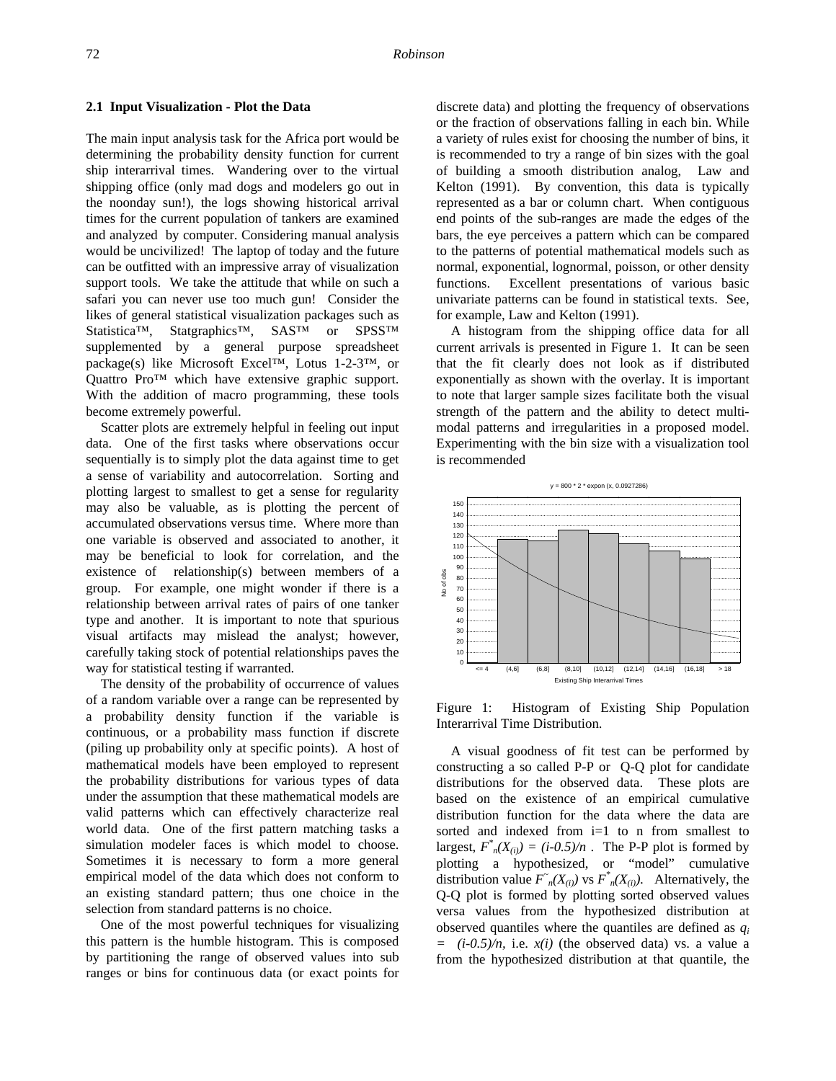#### **2.1 Input Visualization - Plot the Data**

The main input analysis task for the Africa port would be determining the probability density function for current ship interarrival times. Wandering over to the virtual shipping office (only mad dogs and modelers go out in the noonday sun!), the logs showing historical arrival times for the current population of tankers are examined and analyzed by computer. Considering manual analysis would be uncivilized! The laptop of today and the future can be outfitted with an impressive array of visualization support tools. We take the attitude that while on such a safari you can never use too much gun! Consider the likes of general statistical visualization packages such as Statistica™, Statgraphics™, SAS™ or SPSS™ supplemented by a general purpose spreadsheet package(s) like Microsoft Excel™, Lotus 1-2-3™, or Quattro Pro™ which have extensive graphic support. With the addition of macro programming, these tools become extremely powerful.

Scatter plots are extremely helpful in feeling out input data. One of the first tasks where observations occur sequentially is to simply plot the data against time to get a sense of variability and autocorrelation. Sorting and plotting largest to smallest to get a sense for regularity may also be valuable, as is plotting the percent of accumulated observations versus time. Where more than one variable is observed and associated to another, it may be beneficial to look for correlation, and the existence of relationship(s) between members of a group. For example, one might wonder if there is a relationship between arrival rates of pairs of one tanker type and another. It is important to note that spurious visual artifacts may mislead the analyst; however, carefully taking stock of potential relationships paves the way for statistical testing if warranted.

The density of the probability of occurrence of values of a random variable over a range can be represented by a probability density function if the variable is continuous, or a probability mass function if discrete (piling up probability only at specific points). A host of mathematical models have been employed to represent the probability distributions for various types of data under the assumption that these mathematical models are valid patterns which can effectively characterize real world data. One of the first pattern matching tasks a simulation modeler faces is which model to choose. Sometimes it is necessary to form a more general empirical model of the data which does not conform to an existing standard pattern; thus one choice in the selection from standard patterns is no choice.

One of the most powerful techniques for visualizing this pattern is the humble histogram. This is composed by partitioning the range of observed values into sub ranges or bins for continuous data (or exact points for

discrete data) and plotting the frequency of observations or the fraction of observations falling in each bin. While a variety of rules exist for choosing the number of bins, it is recommended to try a range of bin sizes with the goal of building a smooth distribution analog, Law and Kelton (1991). By convention, this data is typically represented as a bar or column chart. When contiguous end points of the sub-ranges are made the edges of the bars, the eye perceives a pattern which can be compared to the patterns of potential mathematical models such as normal, exponential, lognormal, poisson, or other density functions. Excellent presentations of various basic univariate patterns can be found in statistical texts. See, for example, Law and Kelton (1991).

A histogram from the shipping office data for all current arrivals is presented in Figure 1. It can be seen that the fit clearly does not look as if distributed exponentially as shown with the overlay. It is important to note that larger sample sizes facilitate both the visual strength of the pattern and the ability to detect multimodal patterns and irregularities in a proposed model. Experimenting with the bin size with a visualization tool is recommended



Figure 1: Histogram of Existing Ship Population Interarrival Time Distribution.

A visual goodness of fit test can be performed by constructing a so called P-P or Q-Q plot for candidate distributions for the observed data. These plots are based on the existence of an empirical cumulative distribution function for the data where the data are sorted and indexed from i=1 to n from smallest to largest,  $F^*_{n}(X_{(i)}) = (i-0.5)/n$ . The P-P plot is formed by plotting a hypothesized, or "model" cumulative distribution value  $F^*(X_{(i)})$  vs  $F^*(X_{(i)})$ . Alternatively, the Q-Q plot is formed by plotting sorted observed values versa values from the hypothesized distribution at observed quantiles where the quantiles are defined as *qi*  $=$   $(i-0.5)/n$ , *i.e.*  $x(i)$  (the observed data) vs. a value a from the hypothesized distribution at that quantile, the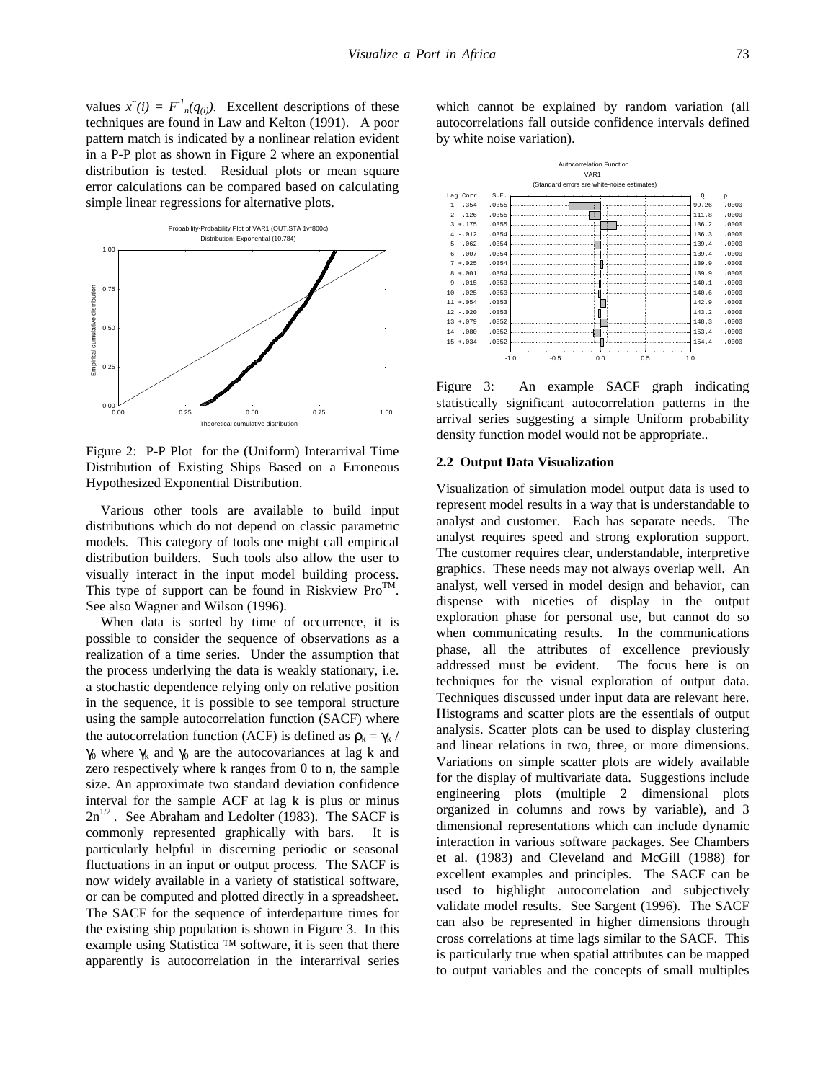values  $\tilde{x}(i) = F^1_{n}(q_{(i)})$ . Excellent descriptions of these techniques are found in Law and Kelton (1991). A poor pattern match is indicated by a nonlinear relation evident in a P-P plot as shown in Figure 2 where an exponential distribution is tested. Residual plots or mean square error calculations can be compared based on calculating simple linear regressions for alternative plots.



Figure 2: P-P Plot for the (Uniform) Interarrival Time Distribution of Existing Ships Based on a Erroneous Hypothesized Exponential Distribution.

Various other tools are available to build input distributions which do not depend on classic parametric models. This category of tools one might call empirical distribution builders. Such tools also allow the user to visually interact in the input model building process. This type of support can be found in Riskview  $Pro^{TM}$ . See also Wagner and Wilson (1996).

When data is sorted by time of occurrence, it is possible to consider the sequence of observations as a realization of a time series. Under the assumption that the process underlying the data is weakly stationary, i.e. a stochastic dependence relying only on relative position in the sequence, it is possible to see temporal structure using the sample autocorrelation function (SACF) where the autocorrelation function (ACF) is defined as  $\rho_k = \gamma_k / k$  $γ<sub>0</sub>$  where γ<sub>k</sub> and γ<sub>0</sub> are the autocovariances at lag k and zero respectively where k ranges from 0 to n, the sample size. An approximate two standard deviation confidence interval for the sample ACF at lag k is plus or minus  $2n^{1/2}$ . See Abraham and Ledolter (1983). The SACF is commonly represented graphically with bars. It is particularly helpful in discerning periodic or seasonal fluctuations in an input or output process. The SACF is now widely available in a variety of statistical software, or can be computed and plotted directly in a spreadsheet. The SACF for the sequence of interdeparture times for the existing ship population is shown in Figure 3. In this example using Statistica ™ software, it is seen that there apparently is autocorrelation in the interarrival series

which cannot be explained by random variation (all autocorrelations fall outside confidence intervals defined by white noise variation).



Figure 3: An example SACF graph indicating statistically significant autocorrelation patterns in the arrival series suggesting a simple Uniform probability density function model would not be appropriate..

#### **2.2 Output Data Visualization**

Visualization of simulation model output data is used to represent model results in a way that is understandable to analyst and customer. Each has separate needs. The analyst requires speed and strong exploration support. The customer requires clear, understandable, interpretive graphics. These needs may not always overlap well. An analyst, well versed in model design and behavior, can dispense with niceties of display in the output exploration phase for personal use, but cannot do so when communicating results. In the communications phase, all the attributes of excellence previously addressed must be evident. The focus here is on techniques for the visual exploration of output data. Techniques discussed under input data are relevant here. Histograms and scatter plots are the essentials of output analysis. Scatter plots can be used to display clustering and linear relations in two, three, or more dimensions. Variations on simple scatter plots are widely available for the display of multivariate data. Suggestions include engineering plots (multiple 2 dimensional plots organized in columns and rows by variable), and 3 dimensional representations which can include dynamic interaction in various software packages. See Chambers et al. (1983) and Cleveland and McGill (1988) for excellent examples and principles. The SACF can be used to highlight autocorrelation and subjectively validate model results. See Sargent (1996). The SACF can also be represented in higher dimensions through cross correlations at time lags similar to the SACF. This is particularly true when spatial attributes can be mapped to output variables and the concepts of small multiples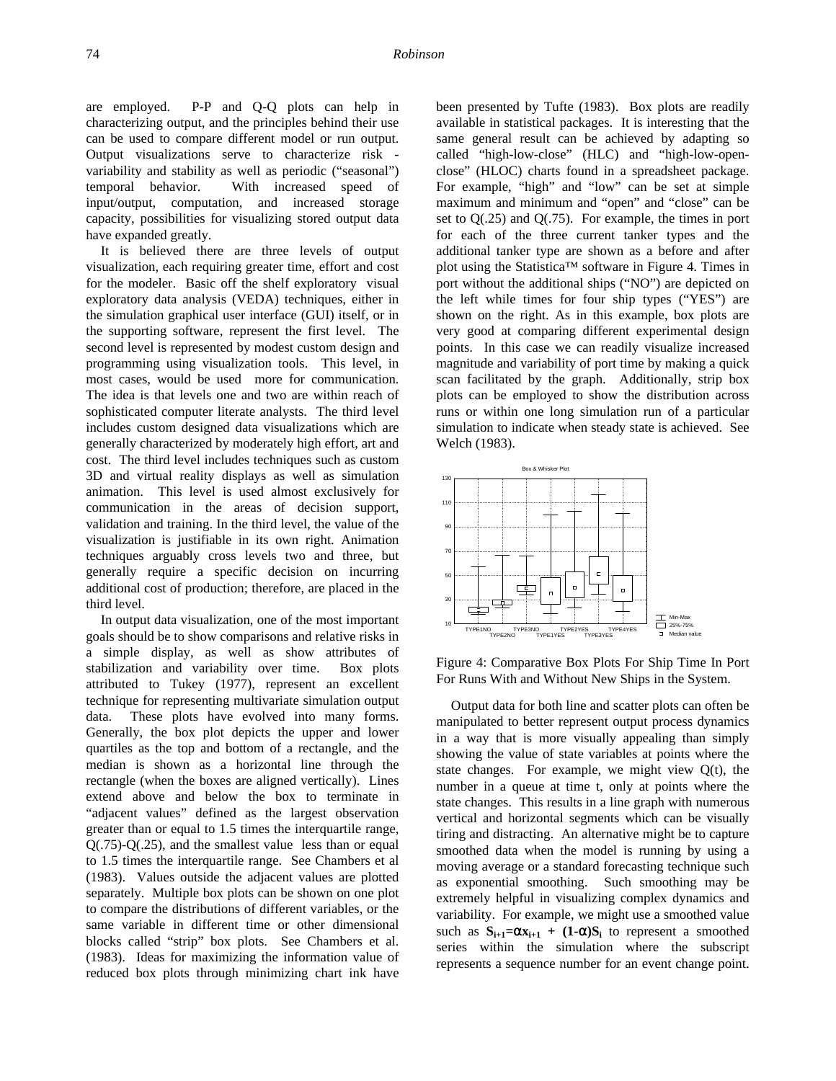are employed. P-P and Q-Q plots can help in characterizing output, and the principles behind their use can be used to compare different model or run output. Output visualizations serve to characterize risk variability and stability as well as periodic ("seasonal") temporal behavior. With increased speed of input/output, computation, and increased storage capacity, possibilities for visualizing stored output data have expanded greatly.

It is believed there are three levels of output visualization, each requiring greater time, effort and cost for the modeler. Basic off the shelf exploratory visual exploratory data analysis (VEDA) techniques, either in the simulation graphical user interface (GUI) itself, or in the supporting software, represent the first level. The second level is represented by modest custom design and programming using visualization tools. This level, in most cases, would be used more for communication. The idea is that levels one and two are within reach of sophisticated computer literate analysts. The third level includes custom designed data visualizations which are generally characterized by moderately high effort, art and cost. The third level includes techniques such as custom 3D and virtual reality displays as well as simulation animation. This level is used almost exclusively for communication in the areas of decision support, validation and training. In the third level, the value of the visualization is justifiable in its own right. Animation techniques arguably cross levels two and three, but generally require a specific decision on incurring additional cost of production; therefore, are placed in the third level.

In output data visualization, one of the most important goals should be to show comparisons and relative risks in a simple display, as well as show attributes of stabilization and variability over time. Box plots attributed to Tukey (1977), represent an excellent technique for representing multivariate simulation output data. These plots have evolved into many forms. Generally, the box plot depicts the upper and lower quartiles as the top and bottom of a rectangle, and the median is shown as a horizontal line through the rectangle (when the boxes are aligned vertically). Lines extend above and below the box to terminate in "adjacent values" defined as the largest observation greater than or equal to 1.5 times the interquartile range,  $Q(.75)-Q(.25)$ , and the smallest value less than or equal to 1.5 times the interquartile range. See Chambers et al (1983). Values outside the adjacent values are plotted separately. Multiple box plots can be shown on one plot to compare the distributions of different variables, or the same variable in different time or other dimensional blocks called "strip" box plots. See Chambers et al. (1983). Ideas for maximizing the information value of reduced box plots through minimizing chart ink have

been presented by Tufte (1983). Box plots are readily available in statistical packages. It is interesting that the same general result can be achieved by adapting so called "high-low-close" (HLC) and "high-low-openclose" (HLOC) charts found in a spreadsheet package. For example, "high" and "low" can be set at simple maximum and minimum and "open" and "close" can be set to  $Q(.25)$  and  $Q(.75)$ . For example, the times in port for each of the three current tanker types and the additional tanker type are shown as a before and after plot using the Statistica™ software in Figure 4. Times in port without the additional ships ("NO") are depicted on the left while times for four ship types ("YES") are shown on the right. As in this example, box plots are very good at comparing different experimental design points. In this case we can readily visualize increased magnitude and variability of port time by making a quick scan facilitated by the graph. Additionally, strip box plots can be employed to show the distribution across runs or within one long simulation run of a particular simulation to indicate when steady state is achieved. See Welch (1983).



Figure 4: Comparative Box Plots For Ship Time In Port For Runs With and Without New Ships in the System.

Output data for both line and scatter plots can often be manipulated to better represent output process dynamics in a way that is more visually appealing than simply showing the value of state variables at points where the state changes. For example, we might view  $Q(t)$ , the number in a queue at time t, only at points where the state changes. This results in a line graph with numerous vertical and horizontal segments which can be visually tiring and distracting. An alternative might be to capture smoothed data when the model is running by using a moving average or a standard forecasting technique such as exponential smoothing. Such smoothing may be extremely helpful in visualizing complex dynamics and variability. For example, we might use a smoothed value such as  $S_{i+1} = \alpha x_{i+1} + (1-\alpha)S_i$  to represent a smoothed series within the simulation where the subscript represents a sequence number for an event change point.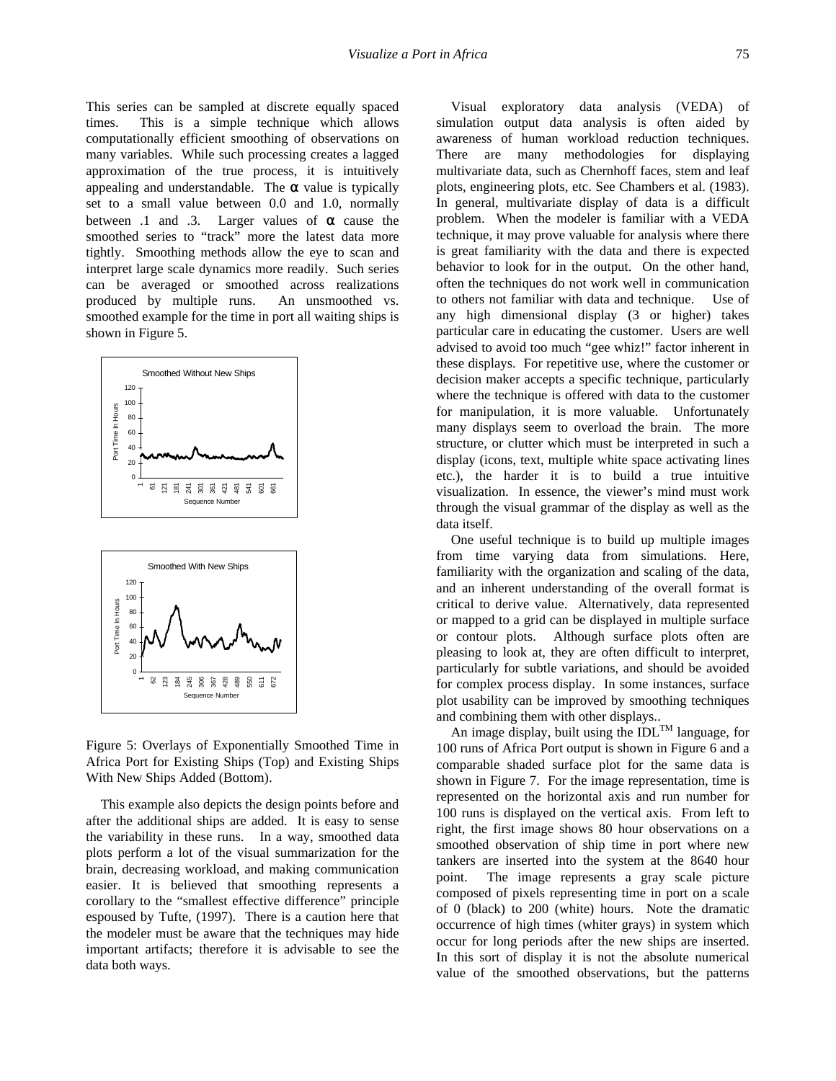This series can be sampled at discrete equally spaced times. This is a simple technique which allows computationally efficient smoothing of observations on many variables. While such processing creates a lagged approximation of the true process, it is intuitively appealing and understandable. The  $\alpha$  value is typically set to a small value between 0.0 and 1.0, normally between .1 and .3. Larger values of  $\alpha$  cause the smoothed series to "track" more the latest data more tightly. Smoothing methods allow the eye to scan and interpret large scale dynamics more readily. Such series can be averaged or smoothed across realizations produced by multiple runs. An unsmoothed vs. smoothed example for the time in port all waiting ships is shown in Figure 5.



Figure 5: Overlays of Exponentially Smoothed Time in Africa Port for Existing Ships (Top) and Existing Ships With New Ships Added (Bottom).

This example also depicts the design points before and after the additional ships are added. It is easy to sense the variability in these runs. In a way, smoothed data plots perform a lot of the visual summarization for the brain, decreasing workload, and making communication easier. It is believed that smoothing represents a corollary to the "smallest effective difference" principle espoused by Tufte, (1997). There is a caution here that the modeler must be aware that the techniques may hide important artifacts; therefore it is advisable to see the data both ways.

Visual exploratory data analysis (VEDA) of simulation output data analysis is often aided by awareness of human workload reduction techniques. There are many methodologies for displaying multivariate data, such as Chernhoff faces, stem and leaf plots, engineering plots, etc. See Chambers et al. (1983). In general, multivariate display of data is a difficult problem. When the modeler is familiar with a VEDA technique, it may prove valuable for analysis where there is great familiarity with the data and there is expected behavior to look for in the output. On the other hand, often the techniques do not work well in communication to others not familiar with data and technique. Use of any high dimensional display (3 or higher) takes particular care in educating the customer. Users are well advised to avoid too much "gee whiz!" factor inherent in these displays. For repetitive use, where the customer or decision maker accepts a specific technique, particularly where the technique is offered with data to the customer for manipulation, it is more valuable. Unfortunately many displays seem to overload the brain. The more structure, or clutter which must be interpreted in such a display (icons, text, multiple white space activating lines etc.), the harder it is to build a true intuitive visualization. In essence, the viewer's mind must work through the visual grammar of the display as well as the data itself.

One useful technique is to build up multiple images from time varying data from simulations. Here, familiarity with the organization and scaling of the data, and an inherent understanding of the overall format is critical to derive value. Alternatively, data represented or mapped to a grid can be displayed in multiple surface or contour plots. Although surface plots often are pleasing to look at, they are often difficult to interpret, particularly for subtle variations, and should be avoided for complex process display. In some instances, surface plot usability can be improved by smoothing techniques and combining them with other displays..

An image display, built using the  $IDL^{TM}$  language, for 100 runs of Africa Port output is shown in Figure 6 and a comparable shaded surface plot for the same data is shown in Figure 7. For the image representation, time is represented on the horizontal axis and run number for 100 runs is displayed on the vertical axis. From left to right, the first image shows 80 hour observations on a smoothed observation of ship time in port where new tankers are inserted into the system at the 8640 hour point. The image represents a gray scale picture composed of pixels representing time in port on a scale of 0 (black) to 200 (white) hours. Note the dramatic occurrence of high times (whiter grays) in system which occur for long periods after the new ships are inserted. In this sort of display it is not the absolute numerical value of the smoothed observations, but the patterns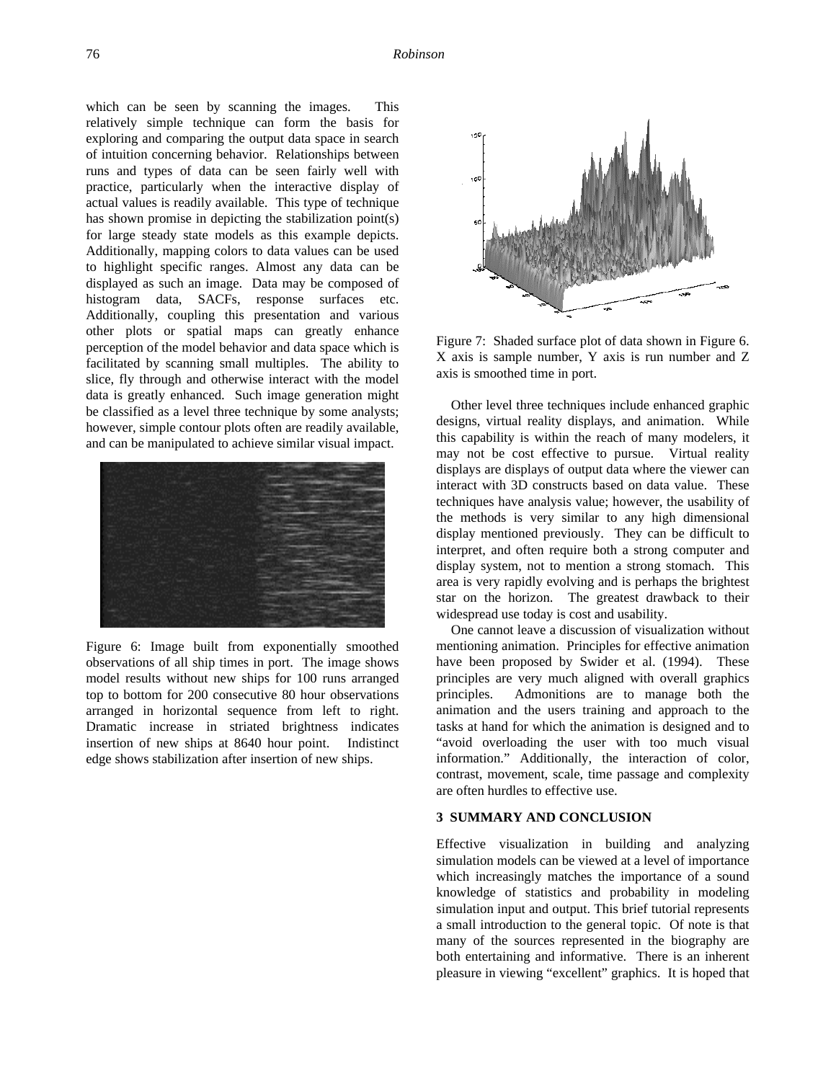which can be seen by scanning the images. This relatively simple technique can form the basis for exploring and comparing the output data space in search of intuition concerning behavior. Relationships between runs and types of data can be seen fairly well with practice, particularly when the interactive display of actual values is readily available. This type of technique has shown promise in depicting the stabilization point(s) for large steady state models as this example depicts. Additionally, mapping colors to data values can be used to highlight specific ranges. Almost any data can be displayed as such an image. Data may be composed of histogram data, SACFs, response surfaces etc. Additionally, coupling this presentation and various other plots or spatial maps can greatly enhance perception of the model behavior and data space which is facilitated by scanning small multiples. The ability to slice, fly through and otherwise interact with the model data is greatly enhanced. Such image generation might be classified as a level three technique by some analysts; however, simple contour plots often are readily available, and can be manipulated to achieve similar visual impact.



Figure 6: Image built from exponentially smoothed observations of all ship times in port. The image shows model results without new ships for 100 runs arranged top to bottom for 200 consecutive 80 hour observations arranged in horizontal sequence from left to right. Dramatic increase in striated brightness indicates insertion of new ships at 8640 hour point. Indistinct edge shows stabilization after insertion of new ships.



Figure 7: Shaded surface plot of data shown in Figure 6. X axis is sample number, Y axis is run number and Z axis is smoothed time in port.

Other level three techniques include enhanced graphic designs, virtual reality displays, and animation. While this capability is within the reach of many modelers, it may not be cost effective to pursue. Virtual reality displays are displays of output data where the viewer can interact with 3D constructs based on data value. These techniques have analysis value; however, the usability of the methods is very similar to any high dimensional display mentioned previously. They can be difficult to interpret, and often require both a strong computer and display system, not to mention a strong stomach. This area is very rapidly evolving and is perhaps the brightest star on the horizon. The greatest drawback to their widespread use today is cost and usability.

One cannot leave a discussion of visualization without mentioning animation. Principles for effective animation have been proposed by Swider et al. (1994). These principles are very much aligned with overall graphics principles. Admonitions are to manage both the animation and the users training and approach to the tasks at hand for which the animation is designed and to "avoid overloading the user with too much visual information." Additionally, the interaction of color, contrast, movement, scale, time passage and complexity are often hurdles to effective use.

## **3 SUMMARY AND CONCLUSION**

Effective visualization in building and analyzing simulation models can be viewed at a level of importance which increasingly matches the importance of a sound knowledge of statistics and probability in modeling simulation input and output. This brief tutorial represents a small introduction to the general topic. Of note is that many of the sources represented in the biography are both entertaining and informative. There is an inherent pleasure in viewing "excellent" graphics. It is hoped that